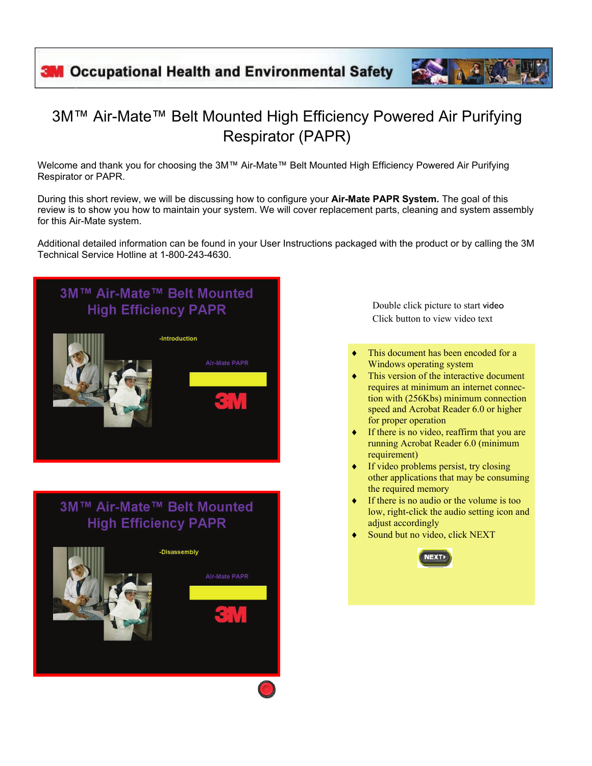## 3M™ Air-Mate™ Belt Mounted High Efficiency Powered Air Purifying Respirator (PAPR)

Welcome and thank you for choosing the 3M™ Air-Mate™ Belt Mounted High Efficiency Powered Air Purifying Respirator or PAPR.

During this short review, we will be discussing how to configure your **Air-Mate PAPR System.** The goal of this review is to show you how to maintain your system. We will cover replacement parts, cleaning and system assembly for this Air-Mate system.

Additional detailed information can be found in your User Instructions packaged with the product or by calling the 3M Technical Service Hotline at 1-800-243-4630.



Double click picture to start video Click button to view video text

- This document has been encoded for a Windows operating system
- ♦ This version of the interactive document requires at minimum an internet connection with (256Kbs) minimum connection speed and Acrobat Reader 6.0 or higher for proper operation
- If there is no video, reaffirm that you are running Acrobat Reader 6.0 (minimum requirement)
- If video problems persist, try closing other applications that may be consuming the required memory
- If there is no audio or the volume is too low, right-click the audio setting icon and adjust accordingly
- Sound but no video, click NEXT

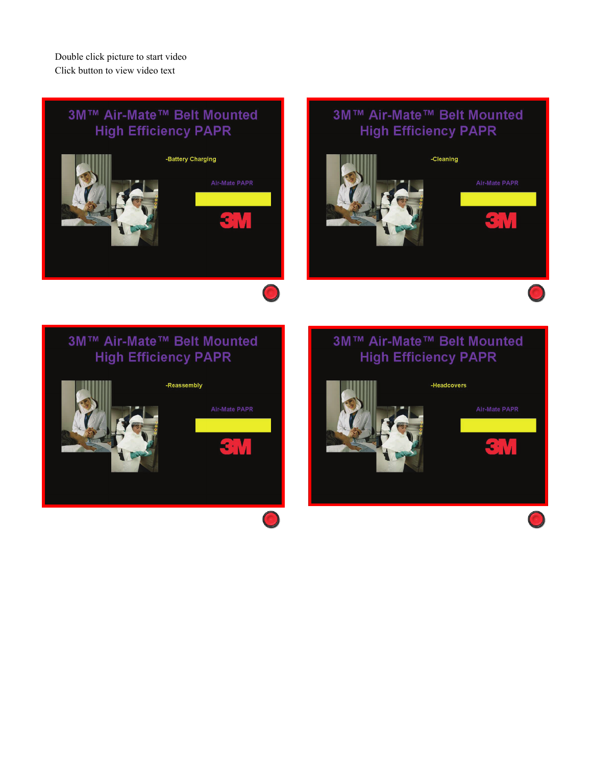Double click picture to start video Click button to view video text

### 3M™ Air-Mate™ Belt Mounted **High Efficiency PAPR**



#### 3M™ Air-Mate™ Belt Mounted **High Efficiency PAPR**



#### 3M™ Air-Mate™ Belt Mounted **High Efficiency PAPR**

 $\bigcirc$ 



#### 3M™ Air-Mate™ Belt Mounted **High Efficiency PAPR**

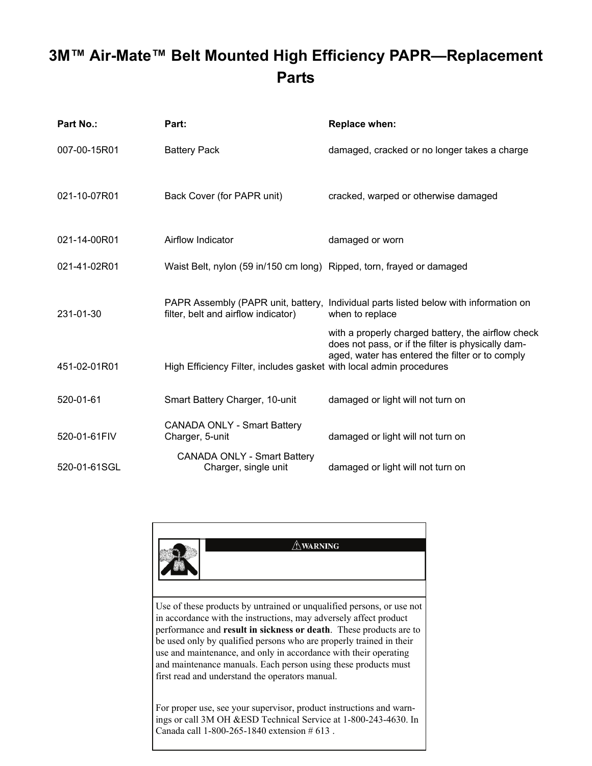# **3M™ Air-Mate™ Belt Mounted High Efficiency PAPR—Replacement Parts**

| Part No.:    | Part:                                                                 | Replace when:                                                                                                                                                 |
|--------------|-----------------------------------------------------------------------|---------------------------------------------------------------------------------------------------------------------------------------------------------------|
| 007-00-15R01 | <b>Battery Pack</b>                                                   | damaged, cracked or no longer takes a charge                                                                                                                  |
| 021-10-07R01 | Back Cover (for PAPR unit)                                            | cracked, warped or otherwise damaged                                                                                                                          |
| 021-14-00R01 | Airflow Indicator                                                     | damaged or worn                                                                                                                                               |
| 021-41-02R01 | Waist Belt, nylon (59 in/150 cm long) Ripped, torn, frayed or damaged |                                                                                                                                                               |
| 231-01-30    | filter, belt and airflow indicator)                                   | PAPR Assembly (PAPR unit, battery, Individual parts listed below with information on<br>when to replace<br>with a properly charged battery, the airflow check |
| 451-02-01R01 | High Efficiency Filter, includes gasket with local admin procedures   | does not pass, or if the filter is physically dam-<br>aged, water has entered the filter or to comply                                                         |
| 520-01-61    | Smart Battery Charger, 10-unit                                        | damaged or light will not turn on                                                                                                                             |
| 520-01-61FIV | <b>CANADA ONLY - Smart Battery</b><br>Charger, 5-unit                 | damaged or light will not turn on                                                                                                                             |
| 520-01-61SGL | <b>CANADA ONLY - Smart Battery</b><br>Charger, single unit            | damaged or light will not turn on                                                                                                                             |

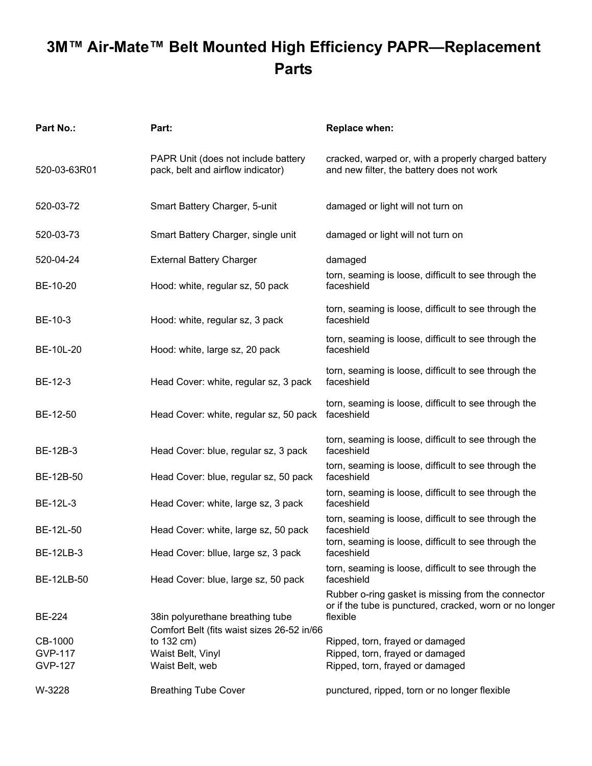# **3M™ Air-Mate™ Belt Mounted High Efficiency PAPR—Replacement Parts**

| <b>Part No.:</b> | Part:                                                                    | <b>Replace when:</b>                                                                                                      |
|------------------|--------------------------------------------------------------------------|---------------------------------------------------------------------------------------------------------------------------|
| 520-03-63R01     | PAPR Unit (does not include battery<br>pack, belt and airflow indicator) | cracked, warped or, with a properly charged battery<br>and new filter, the battery does not work                          |
| 520-03-72        | Smart Battery Charger, 5-unit                                            | damaged or light will not turn on                                                                                         |
| 520-03-73        | Smart Battery Charger, single unit                                       | damaged or light will not turn on                                                                                         |
| 520-04-24        | <b>External Battery Charger</b>                                          | damaged                                                                                                                   |
| BE-10-20         | Hood: white, regular sz, 50 pack                                         | torn, seaming is loose, difficult to see through the<br>faceshield                                                        |
| BE-10-3          | Hood: white, regular sz, 3 pack                                          | torn, seaming is loose, difficult to see through the<br>faceshield                                                        |
| BE-10L-20        | Hood: white, large sz, 20 pack                                           | torn, seaming is loose, difficult to see through the<br>faceshield                                                        |
| BE-12-3          | Head Cover: white, regular sz, 3 pack                                    | torn, seaming is loose, difficult to see through the<br>faceshield                                                        |
| BE-12-50         | Head Cover: white, regular sz, 50 pack                                   | torn, seaming is loose, difficult to see through the<br>faceshield                                                        |
| BE-12B-3         | Head Cover: blue, regular sz, 3 pack                                     | torn, seaming is loose, difficult to see through the<br>faceshield                                                        |
| BE-12B-50        | Head Cover: blue, regular sz, 50 pack                                    | torn, seaming is loose, difficult to see through the<br>faceshield                                                        |
| BE-12L-3         | Head Cover: white, large sz, 3 pack                                      | torn, seaming is loose, difficult to see through the<br>faceshield                                                        |
| BE-12L-50        | Head Cover: white, large sz, 50 pack                                     | torn, seaming is loose, difficult to see through the<br>faceshield                                                        |
| <b>BE-12LB-3</b> | Head Cover: bllue, large sz, 3 pack                                      | torn, seaming is loose, difficult to see through the<br>faceshield                                                        |
| BE-12LB-50       | Head Cover: blue, large sz, 50 pack                                      | torn, seaming is loose, difficult to see through the<br>faceshield                                                        |
| BE-224           | 38in polyurethane breathing tube                                         | Rubber o-ring gasket is missing from the connector<br>or if the tube is punctured, cracked, worn or no longer<br>flexible |
| CB-1000          | Comfort Belt (fits waist sizes 26-52 in/66<br>to $132 \text{ cm}$ )      | Ripped, torn, frayed or damaged                                                                                           |
| <b>GVP-117</b>   | Waist Belt, Vinyl                                                        | Ripped, torn, frayed or damaged                                                                                           |
| <b>GVP-127</b>   | Waist Belt, web                                                          | Ripped, torn, frayed or damaged                                                                                           |
| W-3228           | <b>Breathing Tube Cover</b>                                              | punctured, ripped, torn or no longer flexible                                                                             |